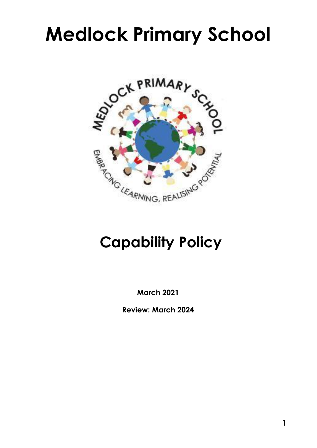# **Medlock Primary School**



# **Capability Policy**

**March 2021**

**Review: March 2024**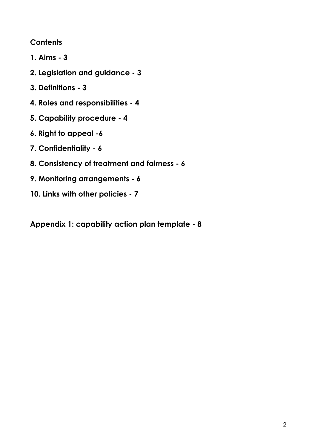# **Contents**

- **1. Aims - 3**
- **2. Legislation and guidance - 3**
- **3. Definitions - 3**
- **4. Roles and responsibilities - 4**
- **5. Capability procedure - 4**
- **6. Right to appeal -6**
- **7. Confidentiality - 6**
- **8. Consistency of treatment and fairness - 6**
- **9. Monitoring arrangements - 6**
- **10. Links with other policies - 7**

**Appendix 1: capability action plan template - 8**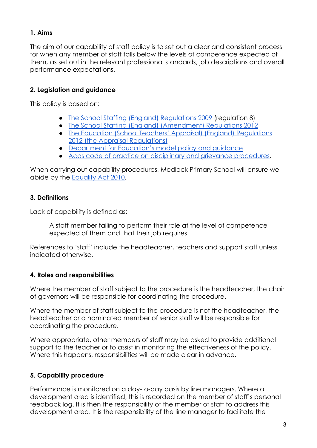#### **1. Aims**

The aim of our capability of staff policy is to set out a clear and consistent process for when any member of staff falls below the levels of competence expected of them, as set out in the relevant professional standards, job descriptions and overall performance expectations.

#### **2. Legislation and guidance**

This policy is based on:

- [The School Staffing \(England\) Regulations 2009](http://www.legislation.gov.uk/uksi/2009/2680/contents/made) (regulation 8)
- [The School Staffing \(England\) \(Amendment\) Regulations 2012](http://www.legislation.gov.uk/uksi/2012/1740/made)
- [The Education \(School Teachers' Appraisal\) \(England\) Regulations](http://www.legislation.gov.uk/uksi/2012/115/pdfs/uksi_20120115_en.pdf) [2012 \(the Appraisal Regulations\)](http://www.legislation.gov.uk/uksi/2012/115/pdfs/uksi_20120115_en.pdf)
- [Department for Education's model policy and guidance](https://www.gov.uk/government/uploads/system/uploads/attachment_data/file/282598/Teacher_appraisal_and_capability.pdf)
- [Acas code of practice on disciplinary and grievance procedures](http://www.acas.org.uk/media/pdf/f/m/Acas-Code-of-Practice-1-on-disciplinary-and-grievance-procedures.pdf).

When carrying out capability procedures, Medlock Primary School will ensure we abide by the [Equality Act 2010.](http://www.legislation.gov.uk/ukpga/2010/15/contents?)

#### **3. Definitions**

Lack of capability is defined as:

A staff member failing to perform their role at the level of competence expected of them and that their job requires.

References to 'staff' include the headteacher, teachers and support staff unless indicated otherwise.

#### **4. Roles and responsibilities**

Where the member of staff subject to the procedure is the headteacher, the chair of governors will be responsible for coordinating the procedure.

Where the member of staff subject to the procedure is not the headteacher, the headteacher or a nominated member of senior staff will be responsible for coordinating the procedure.

Where appropriate, other members of staff may be asked to provide additional support to the teacher or to assist in monitoring the effectiveness of the policy. Where this happens, responsibilities will be made clear in advance.

#### **5. Capability procedure**

Performance is monitored on a day-to-day basis by line managers. Where a development area is identified, this is recorded on the member of staff's personal feedback log. It is then the responsibility of the member of staff to address this development area. It is the responsibility of the line manager to facilitate the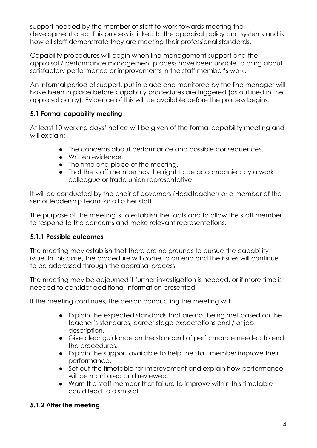support needed by the member of staff to work towards meeting the development area. This process is linked to the appraisal policy and systems and is how all staff demonstrate they are meeting their professional standards.

Capability procedures will begin when line management support and the appraisal / performance management process have been unable to bring about satisfactory performance or improvements in the staff member's work.

An informal period of support, put in place and monitored by the line manager will have been in place before capability procedures are triggered (as outlined in the appraisal policy). Evidence of this will be available before the process begins.

# **5.1 Formal capability meeting**

At least 10 working days' notice will be given of the formal capability meeting and will explain:

- The concerns about performance and possible consequences.
- Written evidence.
- The time and place of the meeting.
- That the staff member has the right to be accompanied by a work colleague or trade union representative.

It will be conducted by the chair of governors (Headteacher) or a member of the senior leadership team for all other staff.

The purpose of the meeting is to establish the facts and to allow the staff member to respond to the concerns and make relevant representations.

# **5.1.1 Possible outcomes**

The meeting may establish that there are no grounds to pursue the capability issue. In this case, the procedure will come to an end and the issues will continue to be addressed through the appraisal process.

The meeting may be adjourned if further investigation is needed, or if more time is needed to consider additional information presented.

If the meeting continues, the person conducting the meeting will:

- Explain the expected standards that are not being met based on the teacher's standards, career stage expectations and / or job description.
- Give clear guidance on the standard of performance needed to end the procedures.
- Explain the support available to help the staff member improve their performance.
- Set out the timetable for improvement and explain how performance will be monitored and reviewed.
- Warn the staff member that failure to improve within this timetable could lead to dismissal.

# **5.1.2 After the meeting**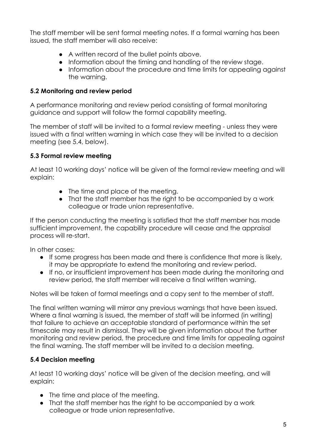The staff member will be sent formal meeting notes. If a formal warning has been issued, the staff member will also receive:

- A written record of the bullet points above.
- Information about the timing and handling of the review stage.
- Information about the procedure and time limits for appealing against the warning.

# **5.2 Monitoring and review period**

A performance monitoring and review period consisting of formal monitoring guidance and support will follow the formal capability meeting.

The member of staff will be invited to a formal review meeting - unless they were issued with a final written warning in which case they will be invited to a decision meeting (see 5.4, below).

# **5.3 Formal review meeting**

At least 10 working days' notice will be given of the formal review meeting and will explain:

- The time and place of the meeting.
- That the staff member has the right to be accompanied by a work colleague or trade union representative.

If the person conducting the meeting is satisfied that the staff member has made sufficient improvement, the capability procedure will cease and the appraisal process will re-start.

In other cases:

- If some progress has been made and there is confidence that more is likely, it may be appropriate to extend the monitoring and review period.
- If no, or insufficient improvement has been made during the monitoring and review period, the staff member will receive a final written warning.

Notes will be taken of formal meetings and a copy sent to the member of staff.

The final written warning will mirror any previous warnings that have been issued. Where a final warning is issued, the member of staff will be informed (in writing) that failure to achieve an acceptable standard of performance within the set timescale may result in dismissal. They will be given information about the further monitoring and review period, the procedure and time limits for appealing against the final warning. The staff member will be invited to a decision meeting.

# **5.4 Decision meeting**

At least 10 working days' notice will be given of the decision meeting, and will explain:

- The time and place of the meeting.
- That the staff member has the right to be accompanied by a work colleague or trade union representative.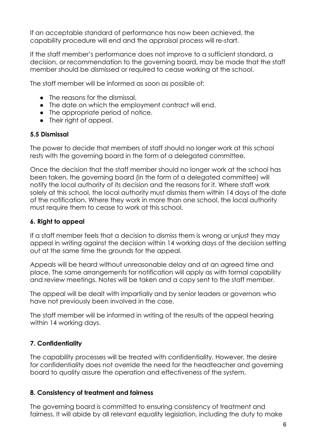If an acceptable standard of performance has now been achieved, the capability procedure will end and the appraisal process will re-start.

If the staff member's performance does not improve to a sufficient standard, a decision, or recommendation to the governing board, may be made that the staff member should be dismissed or required to cease working at the school.

The staff member will be informed as soon as possible of:

- The reasons for the dismissal.
- The date on which the employment contract will end.
- The appropriate period of notice.
- Their right of appeal.

#### **5.5 Dismissal**

The power to decide that members of staff should no longer work at this school rests with the governing board in the form of a delegated committee.

Once the decision that the staff member should no longer work at the school has been taken, the governing board (in the form of a delegated committee) will notify the local authority of its decision and the reasons for it. Where staff work solely at this school, the local authority must dismiss them within 14 days of the date of the notification. Where they work in more than one school, the local authority must require them to cease to work at this school.

#### **6. Right to appeal**

If a staff member feels that a decision to dismiss them is wrong or unjust they may appeal in writing against the decision within 14 working days of the decision setting out at the same time the grounds for the appeal.

Appeals will be heard without unreasonable delay and at an agreed time and place. The same arrangements for notification will apply as with formal capability and review meetings. Notes will be taken and a copy sent to the staff member.

The appeal will be dealt with impartially and by senior leaders or governors who have not previously been involved in the case.

The staff member will be informed in writing of the results of the appeal hearing within 14 working days.

#### **7. Confidentiality**

The capability processes will be treated with confidentiality. However, the desire for confidentiality does not override the need for the headteacher and governing board to quality assure the operation and effectiveness of the system.

#### **8. Consistency of treatment and fairness**

The governing board is committed to ensuring consistency of treatment and fairness. It will abide by all relevant equality legislation, including the duty to make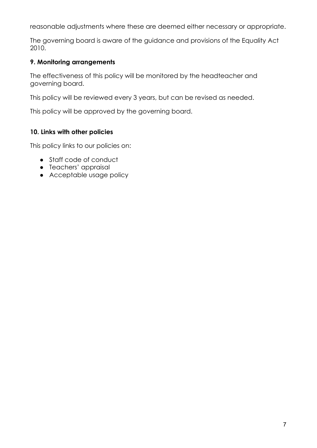reasonable adjustments where these are deemed either necessary or appropriate.

The governing board is aware of the guidance and provisions of the Equality Act 2010.

#### **9. Monitoring arrangements**

The effectiveness of this policy will be monitored by the headteacher and governing board.

This policy will be reviewed every 3 years, but can be revised as needed.

This policy will be approved by the governing board.

## **10. Links with other policies**

This policy links to our policies on:

- Staff code of conduct
- Teachers' appraisal
- Acceptable usage policy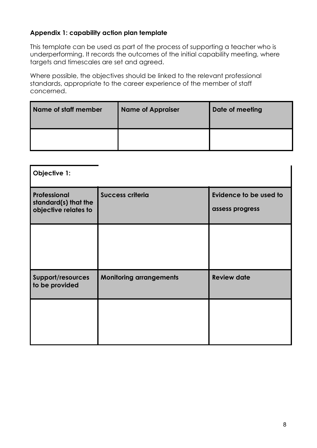## **Appendix 1: capability action plan template**

This template can be used as part of the process of supporting a teacher who is underperforming. It records the outcomes of the initial capability meeting, where targets and timescales are set and agreed.

Where possible, the objectives should be linked to the relevant professional standards, appropriate to the career experience of the member of staff concerned.

| Name of staff member | <b>Name of Appraiser</b> | Date of meeting |
|----------------------|--------------------------|-----------------|
|                      |                          |                 |

| Objective 1:                                                 |                                |                                           |
|--------------------------------------------------------------|--------------------------------|-------------------------------------------|
| Professional<br>standard(s) that the<br>objective relates to | <b>Success criteria</b>        | Evidence to be used to<br>assess progress |
|                                                              |                                |                                           |
| Support/resources<br>to be provided                          | <b>Monitoring arrangements</b> | <b>Review date</b>                        |
|                                                              |                                |                                           |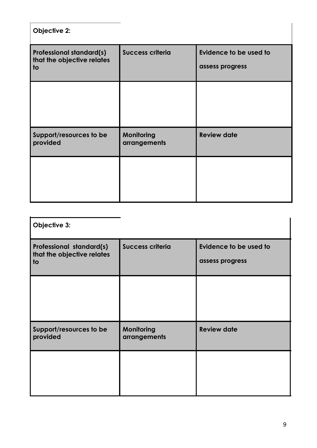| <b>Objective 2:</b>                                                            |                            |                                           |
|--------------------------------------------------------------------------------|----------------------------|-------------------------------------------|
| <b>Professional standard(s)</b><br>that the objective relates<br>$\mathsf{to}$ | <b>Success criteria</b>    | Evidence to be used to<br>assess progress |
|                                                                                |                            |                                           |
| Support/resources to be<br>provided                                            | Monitoring<br>arrangements | <b>Review date</b>                        |
|                                                                                |                            |                                           |

| Objective 3:                                                        |                            |                                           |
|---------------------------------------------------------------------|----------------------------|-------------------------------------------|
| <b>Professional standard(s)</b><br>that the objective relates<br>to | <b>Success criteria</b>    | Evidence to be used to<br>assess progress |
|                                                                     |                            |                                           |
| Support/resources to be<br>provided                                 | Monitoring<br>arrangements | <b>Review date</b>                        |
|                                                                     |                            |                                           |